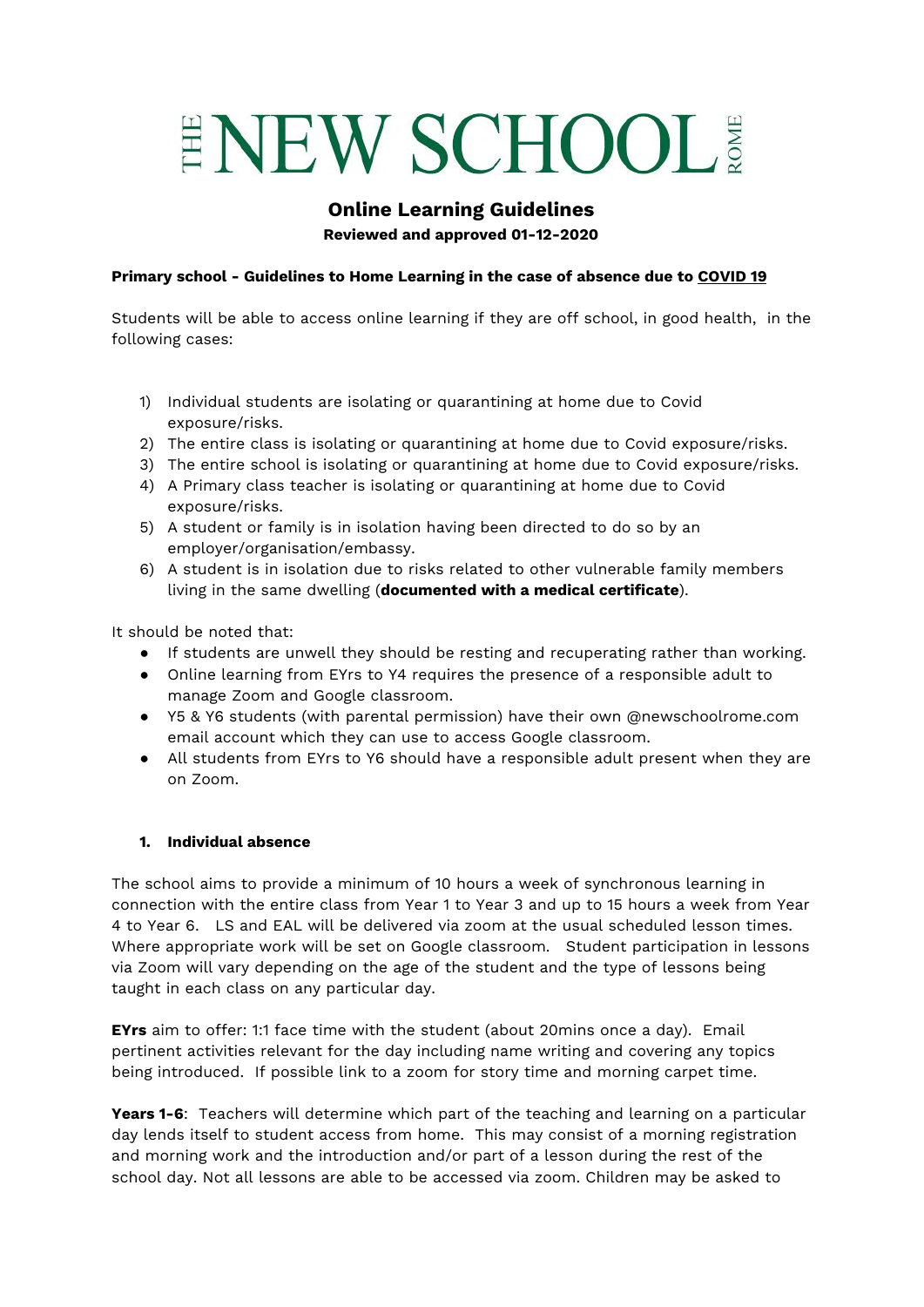# ENEW SCHOOL

# **Online Learning Guidelines Reviewed and approved 01-12-2020**

## **Primary school - Guidelines to Home Learning in the case of absence due to COVID 19**

Students will be able to access online learning if they are off school, in good health, in the following cases:

- 1) Individual students are isolating or quarantining at home due to Covid exposure/risks.
- 2) The entire class is isolating or quarantining at home due to Covid exposure/risks.
- 3) The entire school is isolating or quarantining at home due to Covid exposure/risks.
- 4) A Primary class teacher is isolating or quarantining at home due to Covid exposure/risks.
- 5) A student or family is in isolation having been directed to do so by an employer/organisation/embassy.
- 6) A student is in isolation due to risks related to other vulnerable family members living in the same dwelling (**documented with a medical certificate**).

It should be noted that:

- If students are unwell they should be resting and recuperating rather than working.
- Online learning from EYrs to Y4 requires the presence of a responsible adult to manage Zoom and Google classroom.
- Y5 & Y6 students (with parental permission) have their own @newschoolrome.com email account which they can use to access Google classroom.
- All students from EYrs to Y6 should have a responsible adult present when they are on Zoom.

#### **1. Individual absence**

The school aims to provide a minimum of 10 hours a week of synchronous learning in connection with the entire class from Year 1 to Year 3 and up to 15 hours a week from Year 4 to Year 6. LS and EAL will be delivered via zoom at the usual scheduled lesson times. Where appropriate work will be set on Google classroom. Student participation in lessons via Zoom will vary depending on the age of the student and the type of lessons being taught in each class on any particular day.

**EYrs** aim to offer: 1:1 face time with the student (about 20mins once a day). Email pertinent activities relevant for the day including name writing and covering any topics being introduced. If possible link to a zoom for story time and morning carpet time.

**Years 1-6**: Teachers will determine which part of the teaching and learning on a particular day lends itself to student access from home. This may consist of a morning registration and morning work and the introduction and/or part of a lesson during the rest of the school day. Not all lessons are able to be accessed via zoom. Children may be asked to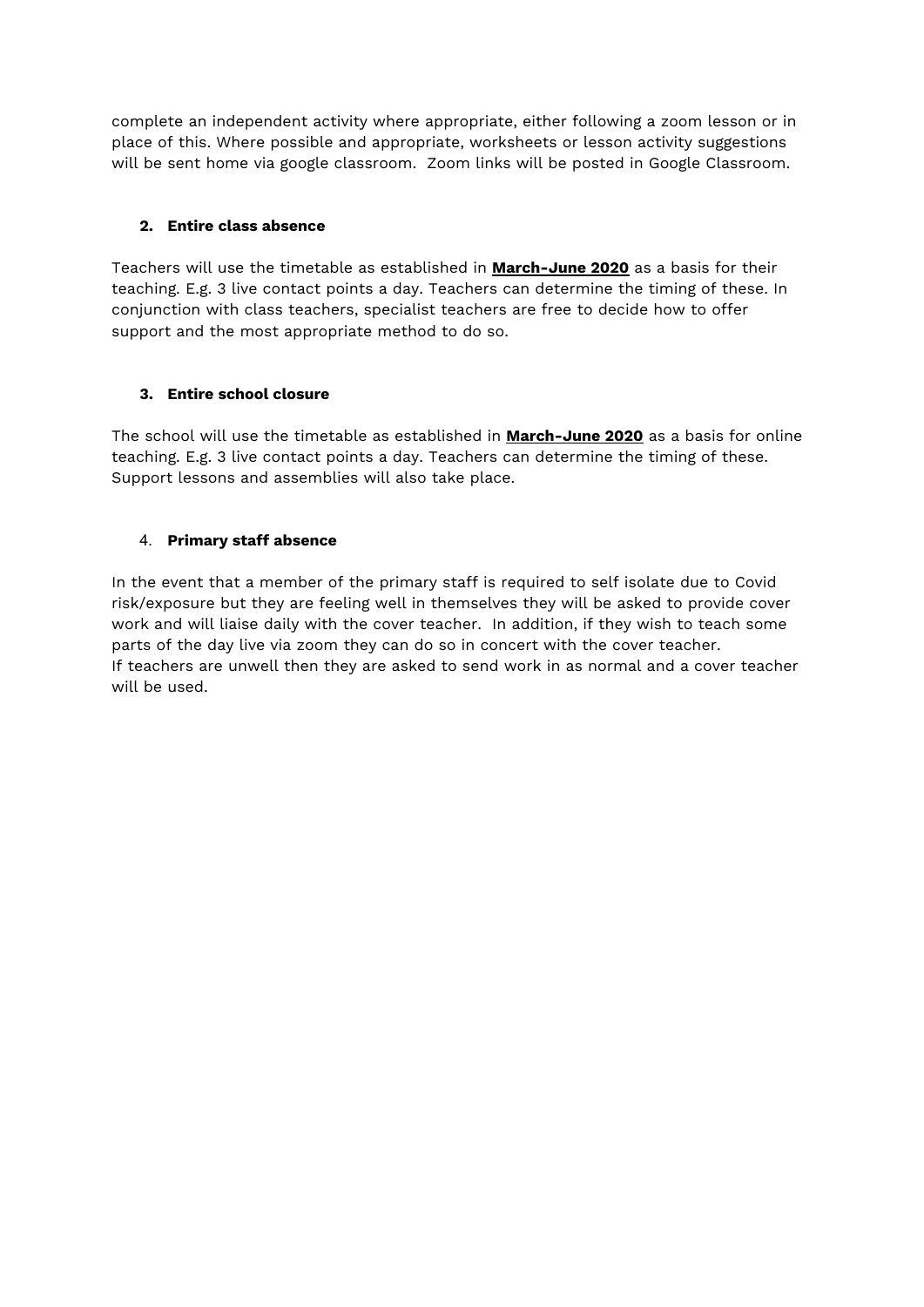complete an independent activity where appropriate, either following a zoom lesson or in place of this. Where possible and appropriate, worksheets or lesson activity suggestions will be sent home via google classroom. Zoom links will be posted in Google Classroom.

## **2. Entire class absence**

Teachers will use the timetable as established in **[March-June](https://docs.google.com/document/d/1y2gOfJ53VrLLYKzH11_2YlGIg2mCUAqV7Skfealm0CM/edit?usp=sharing) 2020** as a basis for their teaching. E.g. 3 live contact points a day. Teachers can determine the timing of these. In conjunction with class teachers, specialist teachers are free to decide how to offer support and the most appropriate method to do so.

## **3. Entire school closure**

The school will use the timetable as established in **[March-June](https://docs.google.com/document/d/1y2gOfJ53VrLLYKzH11_2YlGIg2mCUAqV7Skfealm0CM/edit?usp=sharing) 2020** as a basis for online teaching. E.g. 3 live contact points a day. Teachers can determine the timing of these. Support lessons and assemblies will also take place.

## 4. **Primary staff absence**

In the event that a member of the primary staff is required to self isolate due to Covid risk/exposure but they are feeling well in themselves they will be asked to provide cover work and will liaise daily with the cover teacher. In addition, if they wish to teach some parts of the day live via zoom they can do so in concert with the cover teacher. If teachers are unwell then they are asked to send work in as normal and a cover teacher will be used.